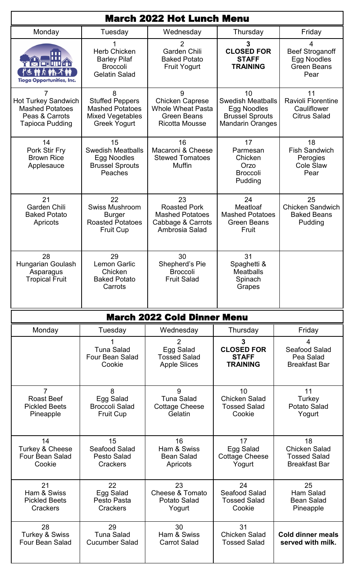| <b>March 2022 Hot Lunch Menu</b>                                                                      |                                                                                                         |                                                                                                        |                                                                                                    |                                                                           |
|-------------------------------------------------------------------------------------------------------|---------------------------------------------------------------------------------------------------------|--------------------------------------------------------------------------------------------------------|----------------------------------------------------------------------------------------------------|---------------------------------------------------------------------------|
| Monday                                                                                                | Tuesday                                                                                                 | Wednesday                                                                                              | Thursday                                                                                           | Friday                                                                    |
| '''<br>ii III Kar<br><b>介袖不</b><br>rg m<br><b>Tioga Opportunities, Inc.</b>                           | <b>Herb Chicken</b><br><b>Barley Pilaf</b><br><b>Broccoli</b><br><b>Gelatin Salad</b>                   | 2<br><b>Garden Chili</b><br><b>Baked Potato</b><br><b>Fruit Yogurt</b>                                 | 3<br><b>CLOSED FOR</b><br><b>STAFF</b><br><b>TRAINING</b>                                          | 4<br><b>Beef Stroganoff</b><br>Egg Noodles<br><b>Green Beans</b><br>Pear  |
| 7<br><b>Hot Turkey Sandwich</b><br><b>Mashed Potatoes</b><br>Peas & Carrots<br><b>Tapioca Pudding</b> | 8<br><b>Stuffed Peppers</b><br><b>Mashed Potatoes</b><br><b>Mixed Vegetables</b><br><b>Greek Yogurt</b> | 9<br><b>Chicken Caprese</b><br><b>Whole Wheat Pasta</b><br><b>Green Beans</b><br><b>Ricotta Mousse</b> | 10<br><b>Swedish Meatballs</b><br>Egg Noodles<br><b>Brussel Sprouts</b><br><b>Mandarin Oranges</b> | 11<br><b>Ravioli Florentine</b><br>Cauliflower<br><b>Citrus Salad</b>     |
| 14<br>Pork Stir Fry<br><b>Brown Rice</b><br>Applesauce                                                | 15<br><b>Swedish Meatballs</b><br>Egg Noodles<br><b>Brussel Sprouts</b><br>Peaches                      | 16<br>Macaroni & Cheese<br><b>Stewed Tomatoes</b><br><b>Muffin</b>                                     | 17<br>Parmesan<br>Chicken<br>Orzo<br><b>Broccoli</b><br>Pudding                                    | 18<br><b>Fish Sandwich</b><br>Perogies<br><b>Cole Slaw</b><br>Pear        |
| 21<br><b>Garden Chili</b><br><b>Baked Potato</b><br>Apricots                                          | 22<br><b>Swiss Mushroom</b><br><b>Burger</b><br><b>Roasted Potatoes</b><br><b>Fruit Cup</b>             | 23<br><b>Roasted Pork</b><br><b>Mashed Potatoes</b><br>Cabbage & Carrots<br>Ambrosia Salad             | 24<br>Meatloaf<br><b>Mashed Potatoes</b><br><b>Green Beans</b><br>Fruit                            | 25<br><b>Chicken Sandwich</b><br><b>Baked Beans</b><br>Pudding            |
| 28<br>Hungarian Goulash<br>Asparagus<br><b>Tropical Fruit</b>                                         | 29<br><b>Lemon Garlic</b><br>Chicken<br><b>Baked Potato</b><br>Carrots                                  | 30<br>Shepherd's Pie<br><b>Broccoli</b><br><b>Fruit Salad</b>                                          | 31<br>Spaghetti &<br><b>Meatballs</b><br>Spinach<br>Grapes                                         |                                                                           |
| <b>March 2022 Cold Dinner Menu</b>                                                                    |                                                                                                         |                                                                                                        |                                                                                                    |                                                                           |
| Monday                                                                                                | Tuesday                                                                                                 | Wednesday                                                                                              | Thursday                                                                                           | Friday                                                                    |
|                                                                                                       | <b>Tuna Salad</b><br>Four Bean Salad<br>Cookie                                                          | $\overline{2}$<br>Egg Salad<br><b>Tossed Salad</b><br><b>Apple Slices</b>                              | 3<br><b>CLOSED FOR</b><br><b>STAFF</b><br><b>TRAINING</b>                                          | 4<br>Seafood Salad<br>Pea Salad<br><b>Breakfast Bar</b>                   |
| 7<br><b>Roast Beef</b><br><b>Pickled Beets</b><br>Pineapple                                           | 8<br>Egg Salad<br><b>Broccoli Salad</b><br><b>Fruit Cup</b>                                             | 9<br><b>Tuna Salad</b><br><b>Cottage Cheese</b><br>Gelatin                                             | 10<br><b>Chicken Salad</b><br><b>Tossed Salad</b><br>Cookie                                        | 11<br>Turkey<br>Potato Salad<br>Yogurt                                    |
| 14<br>Turkey & Cheese<br><b>Four Bean Salad</b><br>Cookie                                             | 15<br>Seafood Salad<br><b>Pesto Salad</b><br><b>Crackers</b>                                            | 16<br>Ham & Swiss<br><b>Bean Salad</b><br>Apricots                                                     | 17<br>Egg Salad<br><b>Cottage Cheese</b><br>Yogurt                                                 | 18<br><b>Chicken Salad</b><br><b>Tossed Salad</b><br><b>Breakfast Bar</b> |
| 21<br>Ham & Swiss<br><b>Pickled Beets</b><br>Crackers                                                 | 22<br>Egg Salad<br>Pesto Pasta<br><b>Crackers</b>                                                       | 23<br>Cheese & Tomato<br><b>Potato Salad</b><br>Yogurt                                                 | 24<br>Seafood Salad<br><b>Tossed Salad</b><br>Cookie                                               | 25<br>Ham Salad<br><b>Bean Salad</b><br>Pineapple                         |
| 28<br><b>Turkey &amp; Swiss</b><br><b>Four Bean Salad</b>                                             | 29<br><b>Tuna Salad</b><br><b>Cucumber Salad</b>                                                        | 30<br>Ham & Swiss<br><b>Carrot Salad</b>                                                               | 31<br><b>Chicken Salad</b><br><b>Tossed Salad</b>                                                  | <b>Cold dinner meals</b><br>served with milk.                             |